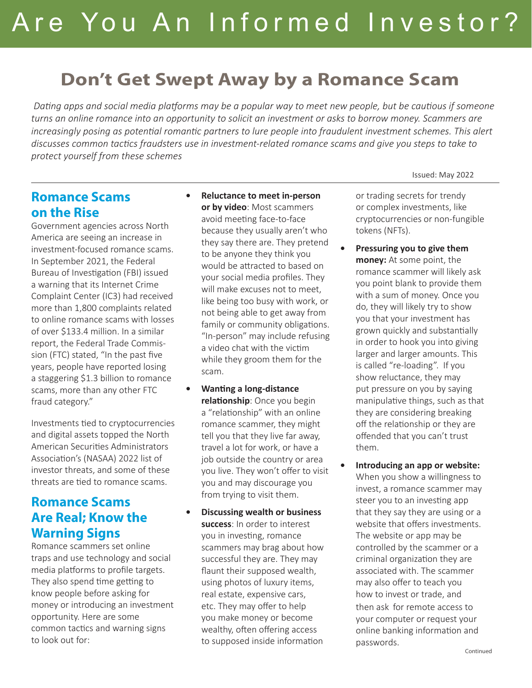# **Don't Get Swept Away by a Romance Scam**

 *Dating apps and social media platforms may be a popular way to meet new people, but be cautious if someone turns an online romance into an opportunity to solicit an investment or asks to borrow money. Scammers are increasingly posing as potential romantic partners to lure people into fraudulent investment schemes. This alert discusses common tactics fraudsters use in investment-related romance scams and give you steps to take to protect yourself from these schemes*

#### **Romance Scams on the Rise**

Government agencies across North America are seeing an increase in investment-focused romance scams. In September 2021, the Federal Bureau of Investigation (FBI) issued a warning that its Internet Crime Complaint Center (IC3) had received more than 1,800 complaints related to online romance scams with losses of over \$133.4 million. In a similar report, the Federal Trade Commission (FTC) stated, "In the past five years, people have reported losing a staggering \$1.3 billion to romance scams, more than any other FTC fraud category."

Investments tied to cryptocurrencies and digital assets topped the North American Securities Administrators Association's (NASAA) 2022 list of investor threats, and some of these threats are tied to romance scams.

### **Romance Scams Are Real; Know the Warning Signs**

Romance scammers set online traps and use technology and social media platforms to profile targets. They also spend time getting to know people before asking for money or introducing an investment opportunity. Here are some common tactics and warning signs to look out for:

- **• Reluctance to meet in-person or by video**: Most scammers avoid meeting face-to-face because they usually aren't who they say there are. They pretend to be anyone they think you would be attracted to based on your social media profiles. They will make excuses not to meet, like being too busy with work, or not being able to get away from family or community obligations. "In-person" may include refusing a video chat with the victim while they groom them for the scam.
- **• Wanting a long-distance relationship**: Once you begin a "relationship" with an online romance scammer, they might tell you that they live far away, travel a lot for work, or have a job outside the country or area you live. They won't offer to visit you and may discourage you from trying to visit them.
- **• Discussing wealth or business success**: In order to interest you in investing, romance scammers may brag about how successful they are. They may flaunt their supposed wealth, using photos of luxury items, real estate, expensive cars, etc. They may offer to help you make money or become wealthy, often offering access to supposed inside information

or trading secrets for trendy or complex investments, like cryptocurrencies or non-fungible tokens (NFTs).

Issued: May 2022

- **• Pressuring you to give them money:** At some point, the romance scammer will likely ask you point blank to provide them with a sum of money. Once you do, they will likely try to show you that your investment has grown quickly and substantially in order to hook you into giving larger and larger amounts. This is called "re-loading". If you show reluctance, they may put pressure on you by saying manipulative things, such as that they are considering breaking off the relationship or they are offended that you can't trust them.
- **• Introducing an app or website:** When you show a willingness to invest, a romance scammer may steer you to an investing app that they say they are using or a website that offers investments. The website or app may be controlled by the scammer or a criminal organization they are associated with. The scammer may also offer to teach you how to invest or trade, and then ask for remote access to your computer or request your online banking information and passwords.